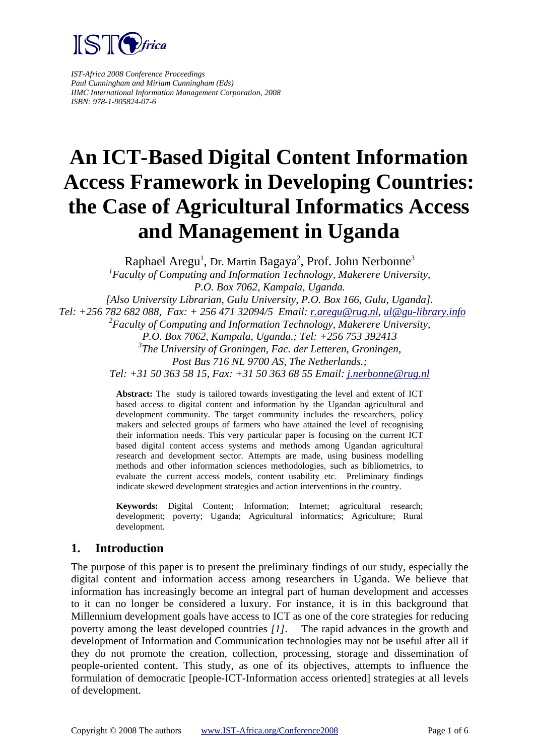

*IST-Africa 2008 Conference Proceedings Paul Cunningham and Miriam Cunningham (Eds) IIMC International Information Management Corporation, 2008 ISBN: 978-1-905824-07-6*

# **An ICT-Based Digital Content Information Access Framework in Developing Countries: the Case of Agricultural Informatics Access and Management in Uganda**

Raphael Aregu<sup>1</sup>, Dr. Martin Bagaya<sup>2</sup>, Prof. John Nerbonne<sup>3</sup> *1 Faculty of Computing and Information Technology, Makerere University, P.O. Box 7062, Kampala, Uganda. [Also University Librarian, Gulu University, P.O. Box 166, Gulu, Uganda]. Tel: +256 782 682 088, Fax: + 256 471 32094/5 Email: [r.aregu@rug.nl,](mailto:r.aregu@rug.nl) [ul@gu-library.info](mailto:ul@gu-library.info) 2 Faculty of Computing and Information Technology, Makerere University, P.O. Box 7062, Kampala, Uganda.; Tel: +256 753 392413 3 The University of Groningen, Fac. der Letteren, Groningen, Post Bus 716 NL 9700 AS, The Netherlands.; Tel: +31 50 363 58 15, Fax: +31 50 363 68 55 Email: [j.nerbonne@rug.nl](mailto:j.nerbonne@rug.nl)* 

> **Abstract:** The study is tailored towards investigating the level and extent of ICT based access to digital content and information by the Ugandan agricultural and development community. The target community includes the researchers, policy makers and selected groups of farmers who have attained the level of recognising their information needs. This very particular paper is focusing on the current ICT based digital content access systems and methods among Ugandan agricultural research and development sector. Attempts are made, using business modelling methods and other information sciences methodologies, such as bibliometrics, to evaluate the current access models, content usability etc. Preliminary findings indicate skewed development strategies and action interventions in the country.

> **Keywords:** Digital Content; Information; Internet; agricultural research; development; poverty; Uganda; Agricultural informatics; Agriculture; Rural development.

## **1. Introduction**

The purpose of this paper is to present the preliminary findings of our study, especially the digital content and information access among researchers in Uganda. We believe that information has increasingly become an integral part of human development and accesses to it can no longer be considered a luxury. For instance, it is in this background that Millennium development goals have access to ICT as one of the core strategies for reducing poverty among the least developed countries *[1]*. The rapid advances in the growth and development of Information and Communication technologies may not be useful after all if they do not promote the creation, collection, processing, storage and dissemination of people-oriented content. This study, as one of its objectives, attempts to influence the formulation of democratic [people-ICT-Information access oriented] strategies at all levels of development.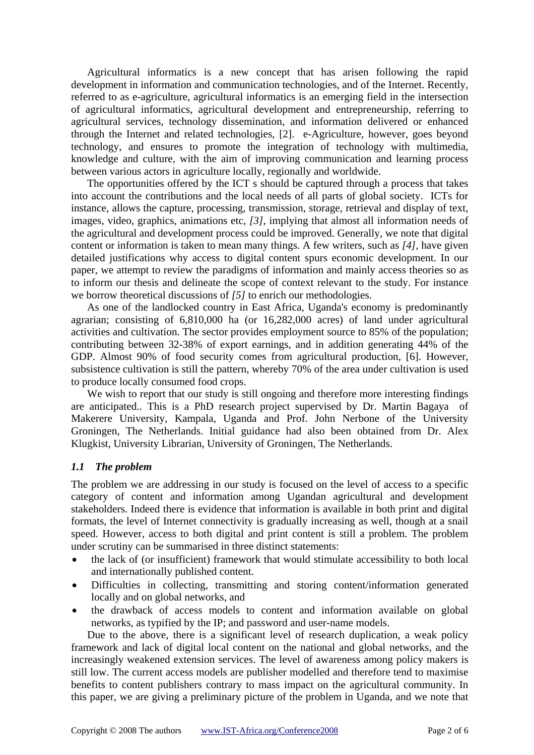Agricultural informatics is a new concept that has arisen following the rapid development in information and communication technologies, and of the Internet. Recently, referred to as e-agriculture, agricultural informatics is an emerging field in the intersection of agricultural informatics, agricultural development and entrepreneurship, referring to agricultural services, technology dissemination, and information delivered or enhanced through the Internet and related technologies, [2]. e-Agriculture, however, goes beyond technology, and ensures to promote the integration of technology with multimedia, knowledge and culture, with the aim of improving communication and learning process between various actors in agriculture locally, regionally and worldwide.

The opportunities offered by the ICT s should be captured through a process that takes into account the contributions and the local needs of all parts of global society. ICTs for instance, allows the capture, processing, transmission, storage, retrieval and display of text, images, video, graphics, animations etc, *[3]*, implying that almost all information needs of the agricultural and development process could be improved. Generally, we note that digital content or information is taken to mean many things. A few writers, such as *[4]*, have given detailed justifications why access to digital content spurs economic development. In our paper, we attempt to review the paradigms of information and mainly access theories so as to inform our thesis and delineate the scope of context relevant to the study. For instance we borrow theoretical discussions of *[5]* to enrich our methodologies.

As one of the landlocked country in East Africa, Uganda's economy is predominantly agrarian; consisting of 6,810,000 ha (or 16,282,000 acres) of land under agricultural activities and cultivation. The sector provides employment source to 85% of the population; contributing between 32-38% of export earnings, and in addition generating 44% of the GDP. Almost 90% of food security comes from agricultural production, [6]. However, subsistence cultivation is still the pattern, whereby 70% of the area under cultivation is used to produce locally consumed food crops.

We wish to report that our study is still ongoing and therefore more interesting findings are anticipated.. This is a PhD research project supervised by Dr. Martin Bagaya of Makerere University, Kampala, Uganda and Prof. John Nerbone of the University Groningen, The Netherlands. Initial guidance had also been obtained from Dr. Alex Klugkist, University Librarian, University of Groningen, The Netherlands.

#### *1.1 The problem*

The problem we are addressing in our study is focused on the level of access to a specific category of content and information among Ugandan agricultural and development stakeholders. Indeed there is evidence that information is available in both print and digital formats, the level of Internet connectivity is gradually increasing as well, though at a snail speed. However, access to both digital and print content is still a problem. The problem under scrutiny can be summarised in three distinct statements:

- the lack of (or insufficient) framework that would stimulate accessibility to both local and internationally published content.
- Difficulties in collecting, transmitting and storing content/information generated locally and on global networks, and
- the drawback of access models to content and information available on global networks, as typified by the IP; and password and user-name models.

Due to the above, there is a significant level of research duplication, a weak policy framework and lack of digital local content on the national and global networks, and the increasingly weakened extension services. The level of awareness among policy makers is still low. The current access models are publisher modelled and therefore tend to maximise benefits to content publishers contrary to mass impact on the agricultural community. In this paper, we are giving a preliminary picture of the problem in Uganda, and we note that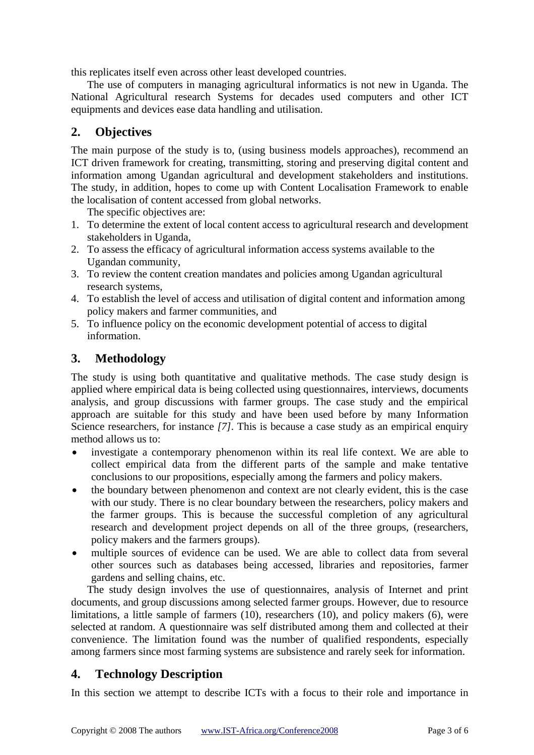this replicates itself even across other least developed countries.

The use of computers in managing agricultural informatics is not new in Uganda. The National Agricultural research Systems for decades used computers and other ICT equipments and devices ease data handling and utilisation.

# **2. Objectives**

The main purpose of the study is to, (using business models approaches), recommend an ICT driven framework for creating, transmitting, storing and preserving digital content and information among Ugandan agricultural and development stakeholders and institutions. The study, in addition, hopes to come up with Content Localisation Framework to enable the localisation of content accessed from global networks.

The specific objectives are:

- 1. To determine the extent of local content access to agricultural research and development stakeholders in Uganda,
- 2. To assess the efficacy of agricultural information access systems available to the Ugandan community,
- 3. To review the content creation mandates and policies among Ugandan agricultural research systems,
- 4. To establish the level of access and utilisation of digital content and information among policy makers and farmer communities, and
- 5. To influence policy on the economic development potential of access to digital information.

## **3. Methodology**

The study is using both quantitative and qualitative methods. The case study design is applied where empirical data is being collected using questionnaires, interviews, documents analysis, and group discussions with farmer groups. The case study and the empirical approach are suitable for this study and have been used before by many Information Science researchers, for instance *[7]*. This is because a case study as an empirical enquiry method allows us to:

- investigate a contemporary phenomenon within its real life context. We are able to collect empirical data from the different parts of the sample and make tentative conclusions to our propositions, especially among the farmers and policy makers.
- the boundary between phenomenon and context are not clearly evident, this is the case with our study. There is no clear boundary between the researchers, policy makers and the farmer groups. This is because the successful completion of any agricultural research and development project depends on all of the three groups, (researchers, policy makers and the farmers groups).
- multiple sources of evidence can be used. We are able to collect data from several other sources such as databases being accessed, libraries and repositories, farmer gardens and selling chains, etc.

The study design involves the use of questionnaires, analysis of Internet and print documents, and group discussions among selected farmer groups. However, due to resource limitations, a little sample of farmers (10), researchers (10), and policy makers (6), were selected at random. A questionnaire was self distributed among them and collected at their convenience. The limitation found was the number of qualified respondents, especially among farmers since most farming systems are subsistence and rarely seek for information.

## **4. Technology Description**

In this section we attempt to describe ICTs with a focus to their role and importance in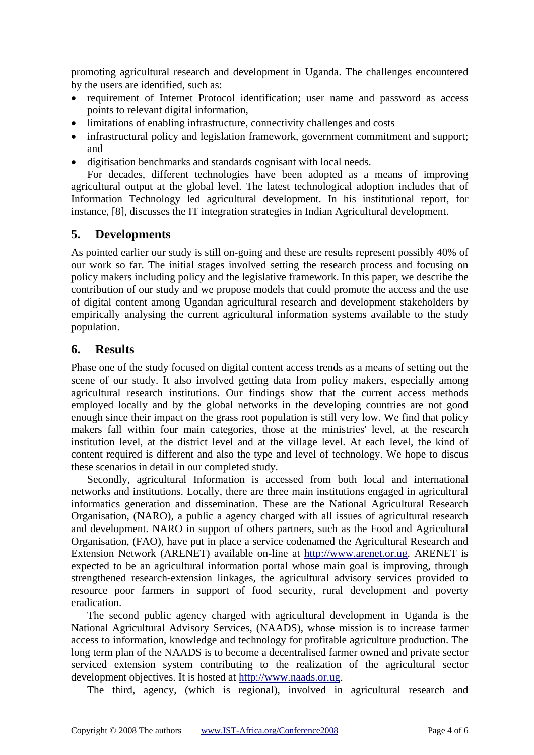promoting agricultural research and development in Uganda. The challenges encountered by the users are identified, such as:

- requirement of Internet Protocol identification; user name and password as access points to relevant digital information,
- limitations of enabling infrastructure, connectivity challenges and costs
- infrastructural policy and legislation framework, government commitment and support; and
- digitisation benchmarks and standards cognisant with local needs.

For decades, different technologies have been adopted as a means of improving agricultural output at the global level. The latest technological adoption includes that of Information Technology led agricultural development. In his institutional report, for instance, [8], discusses the IT integration strategies in Indian Agricultural development.

## **5. Developments**

As pointed earlier our study is still on-going and these are results represent possibly 40% of our work so far. The initial stages involved setting the research process and focusing on policy makers including policy and the legislative framework. In this paper, we describe the contribution of our study and we propose models that could promote the access and the use of digital content among Ugandan agricultural research and development stakeholders by empirically analysing the current agricultural information systems available to the study population.

## **6. Results**

Phase one of the study focused on digital content access trends as a means of setting out the scene of our study. It also involved getting data from policy makers, especially among agricultural research institutions. Our findings show that the current access methods employed locally and by the global networks in the developing countries are not good enough since their impact on the grass root population is still very low. We find that policy makers fall within four main categories, those at the ministries' level, at the research institution level, at the district level and at the village level. At each level, the kind of content required is different and also the type and level of technology. We hope to discus these scenarios in detail in our completed study.

Secondly, agricultural Information is accessed from both local and international networks and institutions. Locally, there are three main institutions engaged in agricultural informatics generation and dissemination. These are the National Agricultural Research Organisation, (NARO), a public a agency charged with all issues of agricultural research and development. NARO in support of others partners, such as the Food and Agricultural Organisation, (FAO), have put in place a service codenamed the Agricultural Research and Extension Network (ARENET) available on-line at [http://www.arenet.or.ug.](http://www.arenet.or.ug/) ARENET is expected to be an agricultural information portal whose main goal is improving, through strengthened research-extension linkages, the agricultural advisory services provided to resource poor farmers in support of food security, rural development and poverty eradication.

The second public agency charged with agricultural development in Uganda is the National Agricultural Advisory Services, (NAADS), whose mission is to increase farmer access to information, knowledge and technology for profitable agriculture production. The long term plan of the NAADS is to become a decentralised farmer owned and private sector serviced extension system contributing to the realization of the agricultural sector development objectives. It is hosted at [http://www.naads.or.ug](http://www.naads.or.ug/).

The third, agency, (which is regional), involved in agricultural research and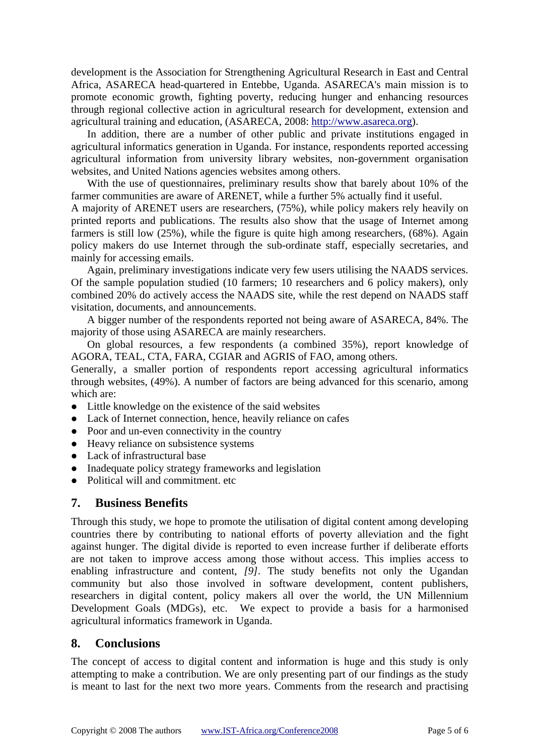development is the Association for Strengthening Agricultural Research in East and Central Africa, ASARECA head-quartered in Entebbe, Uganda. ASARECA's main mission is to promote economic growth, fighting poverty, reducing hunger and enhancing resources through regional collective action in agricultural research for development, extension and agricultural training and education, (ASARECA, 2008: [http://www.asareca.org](http://www.asareca.org/)).

In addition, there are a number of other public and private institutions engaged in agricultural informatics generation in Uganda. For instance, respondents reported accessing agricultural information from university library websites, non-government organisation websites, and United Nations agencies websites among others.

With the use of questionnaires, preliminary results show that barely about 10% of the farmer communities are aware of ARENET, while a further 5% actually find it useful.

A majority of ARENET users are researchers, (75%), while policy makers rely heavily on printed reports and publications. The results also show that the usage of Internet among farmers is still low (25%), while the figure is quite high among researchers, (68%). Again policy makers do use Internet through the sub-ordinate staff, especially secretaries, and mainly for accessing emails.

Again, preliminary investigations indicate very few users utilising the NAADS services. Of the sample population studied (10 farmers; 10 researchers and 6 policy makers), only combined 20% do actively access the NAADS site, while the rest depend on NAADS staff visitation, documents, and announcements.

A bigger number of the respondents reported not being aware of ASARECA, 84%. The majority of those using ASARECA are mainly researchers.

On global resources, a few respondents (a combined 35%), report knowledge of AGORA, TEAL, CTA, FARA, CGIAR and AGRIS of FAO, among others.

Generally, a smaller portion of respondents report accessing agricultural informatics through websites, (49%). A number of factors are being advanced for this scenario, among which are:

- Little knowledge on the existence of the said websites
- Lack of Internet connection, hence, heavily reliance on cafes
- Poor and un-even connectivity in the country
- Heavy reliance on subsistence systems
- Lack of infrastructural base
- Inadequate policy strategy frameworks and legislation
- Political will and commitment, etc.

#### **7. Business Benefits**

Through this study, we hope to promote the utilisation of digital content among developing countries there by contributing to national efforts of poverty alleviation and the fight against hunger. The digital divide is reported to even increase further if deliberate efforts are not taken to improve access among those without access. This implies access to enabling infrastructure and content, *[9]*. The study benefits not only the Ugandan community but also those involved in software development, content publishers, researchers in digital content, policy makers all over the world, the UN Millennium Development Goals (MDGs), etc. We expect to provide a basis for a harmonised agricultural informatics framework in Uganda.

## **8. Conclusions**

The concept of access to digital content and information is huge and this study is only attempting to make a contribution. We are only presenting part of our findings as the study is meant to last for the next two more years. Comments from the research and practising